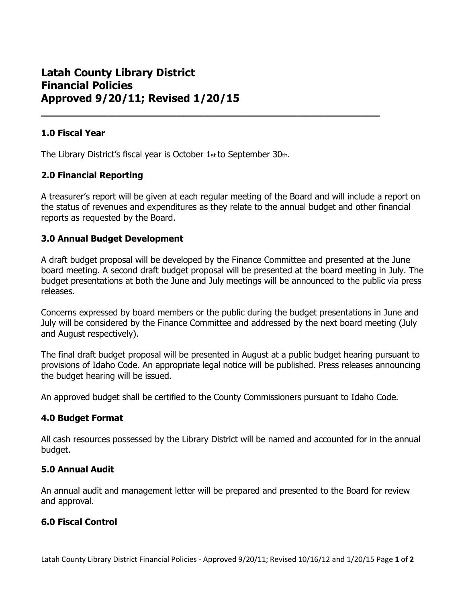# **Latah County Library District Financial Policies Approved 9/20/11; Revised 1/20/15**

### **1.0 Fiscal Year**

The Library District's fiscal year is October 1st to September 30th.

#### **2.0 Financial Reporting**

A treasurer's report will be given at each regular meeting of the Board and will include a report on the status of revenues and expenditures as they relate to the annual budget and other financial reports as requested by the Board.

**\_\_\_\_\_\_\_\_\_\_\_\_\_\_\_\_\_\_\_\_\_\_\_\_\_\_\_\_\_\_\_\_\_\_\_\_\_\_\_\_\_\_\_\_\_\_\_\_\_\_** 

#### **3.0 Annual Budget Development**

A draft budget proposal will be developed by the Finance Committee and presented at the June board meeting. A second draft budget proposal will be presented at the board meeting in July. The budget presentations at both the June and July meetings will be announced to the public via press releases.

Concerns expressed by board members or the public during the budget presentations in June and July will be considered by the Finance Committee and addressed by the next board meeting (July and August respectively).

The final draft budget proposal will be presented in August at a public budget hearing pursuant to provisions of Idaho Code. An appropriate legal notice will be published. Press releases announcing the budget hearing will be issued.

An approved budget shall be certified to the County Commissioners pursuant to Idaho Code.

#### **4.0 Budget Format**

All cash resources possessed by the Library District will be named and accounted for in the annual budget.

#### **5.0 Annual Audit**

An annual audit and management letter will be prepared and presented to the Board for review and approval.

#### **6.0 Fiscal Control**

Latah County Library District Financial Policies - Approved 9/20/11; Revised 10/16/12 and 1/20/15 Page **1** of **2**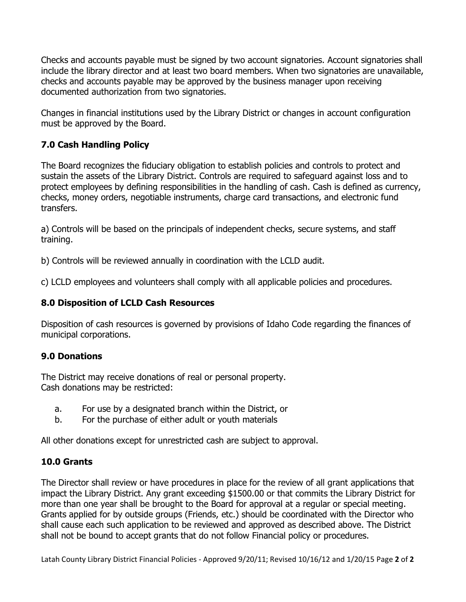Checks and accounts payable must be signed by two account signatories. Account signatories shall include the library director and at least two board members. When two signatories are unavailable, checks and accounts payable may be approved by the business manager upon receiving documented authorization from two signatories.

Changes in financial institutions used by the Library District or changes in account configuration must be approved by the Board.

## **7.0 Cash Handling Policy**

The Board recognizes the fiduciary obligation to establish policies and controls to protect and sustain the assets of the Library District. Controls are required to safeguard against loss and to protect employees by defining responsibilities in the handling of cash. Cash is defined as currency, checks, money orders, negotiable instruments, charge card transactions, and electronic fund transfers.

a) Controls will be based on the principals of independent checks, secure systems, and staff training.

b) Controls will be reviewed annually in coordination with the LCLD audit.

c) LCLD employees and volunteers shall comply with all applicable policies and procedures.

#### **8.0 Disposition of LCLD Cash Resources**

Disposition of cash resources is governed by provisions of Idaho Code regarding the finances of municipal corporations.

#### **9.0 Donations**

The District may receive donations of real or personal property. Cash donations may be restricted:

- a. For use by a designated branch within the District, or
- b. For the purchase of either adult or youth materials

All other donations except for unrestricted cash are subject to approval.

#### **10.0 Grants**

The Director shall review or have procedures in place for the review of all grant applications that impact the Library District. Any grant exceeding \$1500.00 or that commits the Library District for more than one year shall be brought to the Board for approval at a regular or special meeting. Grants applied for by outside groups (Friends, etc.) should be coordinated with the Director who shall cause each such application to be reviewed and approved as described above. The District shall not be bound to accept grants that do not follow Financial policy or procedures.

Latah County Library District Financial Policies - Approved 9/20/11; Revised 10/16/12 and 1/20/15 Page **2** of **2**